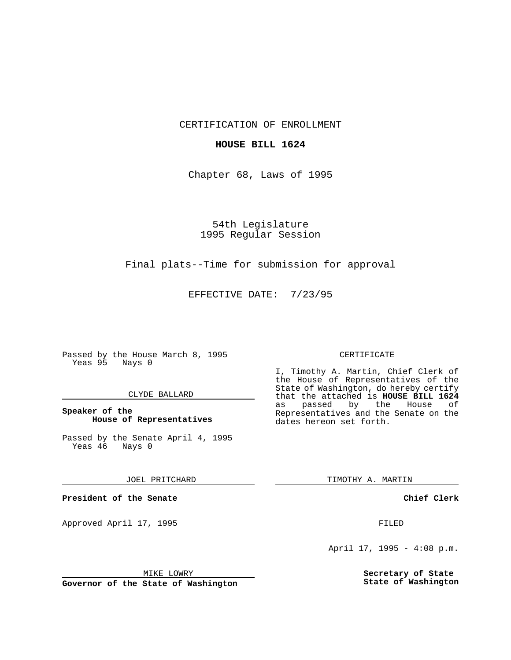CERTIFICATION OF ENROLLMENT

## **HOUSE BILL 1624**

Chapter 68, Laws of 1995

54th Legislature 1995 Regular Session

## Final plats--Time for submission for approval

EFFECTIVE DATE: 7/23/95

Passed by the House March 8, 1995 Yeas 95 Nays 0

### CLYDE BALLARD

## **Speaker of the House of Representatives**

Passed by the Senate April 4, 1995<br>Yeas 46 Nays 0 Yeas 46

#### JOEL PRITCHARD

**President of the Senate**

Approved April 17, 1995 FILED

# MIKE LOWRY

**Governor of the State of Washington**

#### CERTIFICATE

I, Timothy A. Martin, Chief Clerk of the House of Representatives of the State of Washington, do hereby certify that the attached is **HOUSE BILL 1624** as passed by the Representatives and the Senate on the dates hereon set forth.

TIMOTHY A. MARTIN

### **Chief Clerk**

April 17, 1995 - 4:08 p.m.

**Secretary of State State of Washington**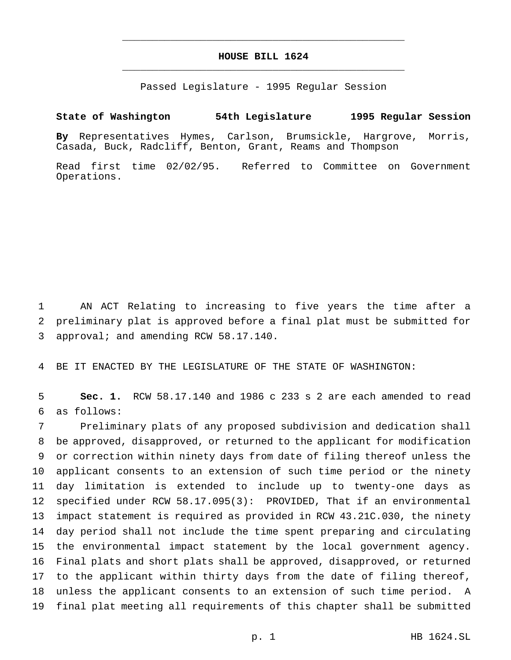# **HOUSE BILL 1624** \_\_\_\_\_\_\_\_\_\_\_\_\_\_\_\_\_\_\_\_\_\_\_\_\_\_\_\_\_\_\_\_\_\_\_\_\_\_\_\_\_\_\_\_\_\_\_

\_\_\_\_\_\_\_\_\_\_\_\_\_\_\_\_\_\_\_\_\_\_\_\_\_\_\_\_\_\_\_\_\_\_\_\_\_\_\_\_\_\_\_\_\_\_\_

Passed Legislature - 1995 Regular Session

# **State of Washington 54th Legislature 1995 Regular Session**

**By** Representatives Hymes, Carlson, Brumsickle, Hargrove, Morris, Casada, Buck, Radcliff, Benton, Grant, Reams and Thompson

Read first time 02/02/95. Referred to Committee on Government Operations.

 AN ACT Relating to increasing to five years the time after a preliminary plat is approved before a final plat must be submitted for approval; and amending RCW 58.17.140.

BE IT ENACTED BY THE LEGISLATURE OF THE STATE OF WASHINGTON:

 **Sec. 1.** RCW 58.17.140 and 1986 c 233 s 2 are each amended to read as follows:

 Preliminary plats of any proposed subdivision and dedication shall be approved, disapproved, or returned to the applicant for modification or correction within ninety days from date of filing thereof unless the applicant consents to an extension of such time period or the ninety day limitation is extended to include up to twenty-one days as specified under RCW 58.17.095(3): PROVIDED, That if an environmental impact statement is required as provided in RCW 43.21C.030, the ninety day period shall not include the time spent preparing and circulating the environmental impact statement by the local government agency. Final plats and short plats shall be approved, disapproved, or returned to the applicant within thirty days from the date of filing thereof, unless the applicant consents to an extension of such time period. A final plat meeting all requirements of this chapter shall be submitted